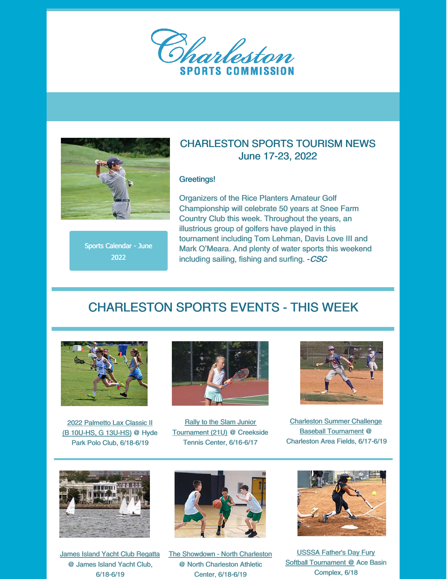



Sports Calendar - June 2022

### CHARLESTON SPORTS TOURISM NEWS June 17-23, 2022

#### Greetings!

Organizers of the Rice Planters Amateur Golf Championship will celebrate 50 years at Snee Farm Country Club this week. Throughout the years, an illustrious group of golfers have played in this tournament including Tom Lehman, Davis Love III and Mark O'Meara. And plenty of water sports this weekend including sailing, fishing and surfing. - CSC

## CHARLESTON SPORTS EVENTS - THIS WEEK



2022 Palmetto Lax Classic II (B 10U-HS, G 13U-HS) @ Hyde Park Polo Club, 6/18-6/19



Rally to the Slam Junior Tournament (21U) @ Creekside Tennis Center, 6/16-6/17



Charleston Summer Challenge Baseball Tournament @ Charleston Area Fields, 6/17-6/19



James Island Yacht Club Regatta @ James Island Yacht Club, 6/18-6/19



The Showdown - North Charleston @ North Charleston Athletic Center, 6/18-6/19



USSSA Father's Day Fury Softball Tournament @ Ace Basin Complex, 6/18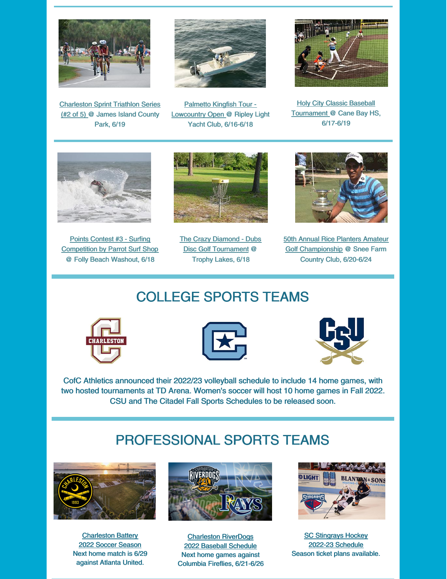

Charleston Sprint Triathlon Series (#2 of 5) @ James Island County Park, 6/19



Palmetto Kingfish Tour - Lowcountry Open @ Ripley Light Yacht Club, 6/16-6/18



**Holy City Classic Baseball** Tournament @ Cane Bay HS, 6/17-6/19



Points Contest #3 - Surfing Competition by Parrot Surf Shop @ Folly Beach Washout, 6/18



The Crazy Diamond - Dubs Disc Golf Tournament @ Trophy Lakes, 6/18



50th Annual Rice Planters Amateur Golf Championship @ Snee Farm Country Club, 6/20-6/24

# COLLEGE SPORTS TEAMS







CofC Athletics announced their 2022/23 volleyball schedule to include 14 home games, with two hosted tournaments at TD Arena. Women's soccer will host 10 home games in Fall 2022. CSU and The Citadel Fall Sports Schedules to be released soon.

# PROFESSIONAL SPORTS TEAMS



Charleston Battery 2022 Soccer Season Next home match is 6/29 against Atlanta United.



Charleston RiverDogs 2022 Baseball Schedule Next home games against Columbia Fireflies, 6/21-6/26



**SC Stingrays Hockey** 2022-23 Schedule Season ticket plans available.